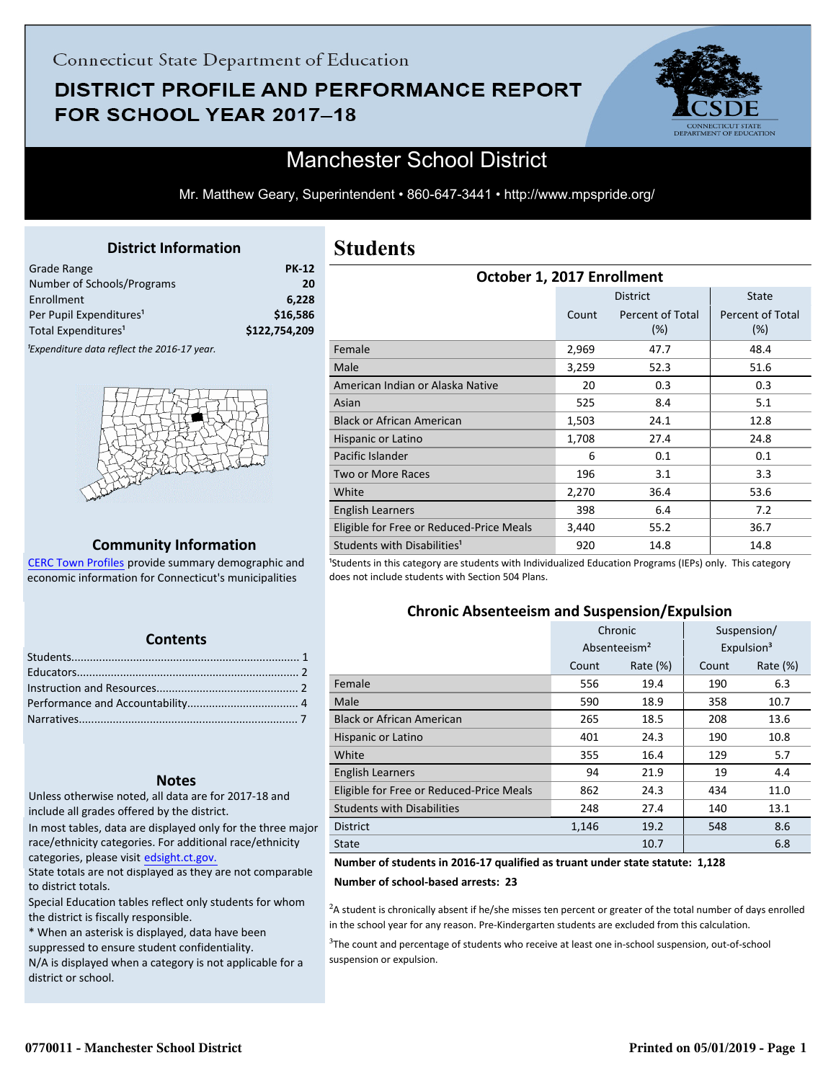# DISTRICT PROFILE AND PERFORMANCE REPORT FOR SCHOOL YEAR 2017-18



## Manchester School District

Mr. Matthew Geary, Superintendent • 860-647-3441 • http://www.mpspride.org/

#### **District Information**

<span id="page-0-0"></span>

| Grade Range                                             | <b>PK-12</b>  |
|---------------------------------------------------------|---------------|
| Number of Schools/Programs                              | 20            |
| Enrollment                                              | 6.228         |
| Per Pupil Expenditures <sup>1</sup>                     | \$16,586      |
| Total Expenditures <sup>1</sup>                         | \$122,754,209 |
| <sup>1</sup> Expenditure data reflect the 2016-17 year. |               |



#### **Community Information**

[CERC Town Profiles provide summary demographic and](http://www.cerc.com/townprofiles/) economic information for Connecticut's municipalities

#### **Contents**

#### **Notes**

Unless otherwise noted, all data are for 2017-18 and include all grades offered by the district.

[In most tables, data are displayed only for the three major](http://edsight.ct.gov/) race/ethnicity categories. For additional race/ethnicity categories, please visit edsight.ct.gov.

State totals are not displayed as they are not comparable to district totals.

Special Education tables reflect only students for whom the district is fiscally responsible.

\* When an asterisk is displayed, data have been suppressed to ensure student confidentiality.

N/A is displayed when a category is not applicable for a district or school.

## **Students**

| October 1, 2017 Enrollment               |       |                         |                         |  |  |
|------------------------------------------|-------|-------------------------|-------------------------|--|--|
|                                          |       | <b>District</b>         | <b>State</b>            |  |  |
|                                          | Count | Percent of Total<br>(%) | Percent of Total<br>(%) |  |  |
| Female                                   | 2,969 | 47.7                    | 48.4                    |  |  |
| Male                                     | 3,259 | 52.3                    | 51.6                    |  |  |
| American Indian or Alaska Native         | 20    | 0.3                     | 0.3                     |  |  |
| Asian                                    | 525   | 8.4                     | 5.1                     |  |  |
| <b>Black or African American</b>         | 1,503 | 24.1                    | 12.8                    |  |  |
| Hispanic or Latino                       | 1,708 | 27.4                    | 24.8                    |  |  |
| Pacific Islander                         | 6     | 0.1                     | 0.1                     |  |  |
| Two or More Races                        | 196   | 3.1                     | 3.3                     |  |  |
| White                                    | 2,270 | 36.4                    | 53.6                    |  |  |
| English Learners                         | 398   | 6.4                     | 7.2                     |  |  |
| Eligible for Free or Reduced-Price Meals | 3,440 | 55.2                    | 36.7                    |  |  |
| Students with Disabilities <sup>1</sup>  | 920   | 14.8                    | 14.8                    |  |  |

<sup>1</sup>Students in this category are students with Individualized Education Programs (IEPs) only. This category does not include students with Section 504 Plans.

#### **Chronic Absenteeism and Suspension/Expulsion**

|                                          | Chronic                  |             |       | Suspension/            |
|------------------------------------------|--------------------------|-------------|-------|------------------------|
|                                          | Absenteeism <sup>2</sup> |             |       | Expulsion <sup>3</sup> |
|                                          | Count                    | Rate $(\%)$ | Count | Rate (%)               |
| Female                                   | 556                      | 19.4        | 190   | 6.3                    |
| Male                                     | 590                      | 18.9        | 358   | 10.7                   |
| <b>Black or African American</b>         | 265                      | 18.5        | 208   | 13.6                   |
| Hispanic or Latino                       | 401                      | 24.3        | 190   | 10.8                   |
| White                                    | 355                      | 16.4        | 129   | 5.7                    |
| <b>English Learners</b>                  | 94                       | 21.9        | 19    | 4.4                    |
| Eligible for Free or Reduced-Price Meals | 862                      | 24.3        | 434   | 11.0                   |
| <b>Students with Disabilities</b>        | 248                      | 27.4        | 140   | 13.1                   |
| <b>District</b>                          | 1,146                    | 19.2        | 548   | 8.6                    |
| <b>State</b>                             |                          | 10.7        |       | 6.8                    |

#### **Number of students in 2016-17 qualified as truant under state statute: 1,128**

**Number of school-based arrests: 23**

 ${}^{2}$ A student is chronically absent if he/she misses ten percent or greater of the total number of days enrolled in the school year for any reason. Pre-Kindergarten students are excluded from this calculation.

<sup>3</sup>The count and percentage of students who receive at least one in-school suspension, out-of-school suspension or expulsion.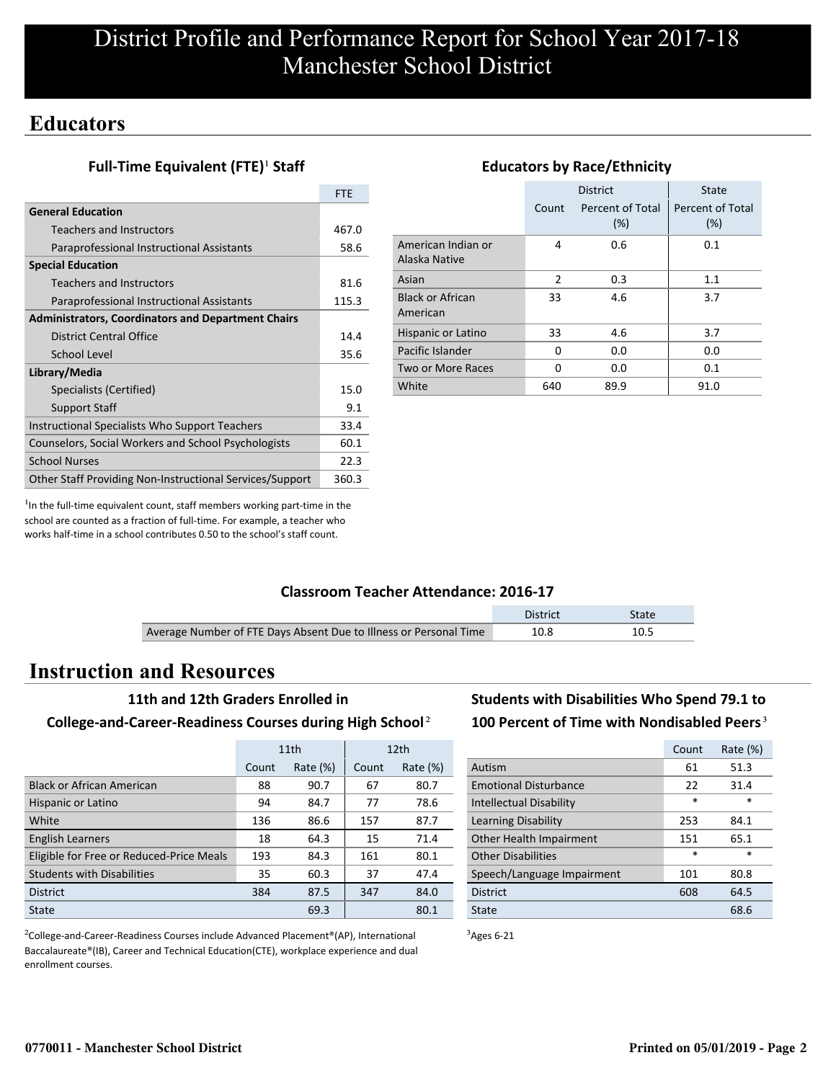## **Educators**

### **Full-Time Equivalent (FTE)<sup>1</sup> Staff**

|                                                           | <b>FTE</b> |
|-----------------------------------------------------------|------------|
| <b>General Education</b>                                  |            |
| Teachers and Instructors                                  | 467.0      |
| Paraprofessional Instructional Assistants                 | 58.6       |
| <b>Special Education</b>                                  |            |
| Teachers and Instructors                                  | 81.6       |
| Paraprofessional Instructional Assistants                 | 115.3      |
| <b>Administrators, Coordinators and Department Chairs</b> |            |
| District Central Office                                   | 14.4       |
| School Level                                              | 35.6       |
| Library/Media                                             |            |
| Specialists (Certified)                                   | 15.0       |
| <b>Support Staff</b>                                      | 9.1        |
| Instructional Specialists Who Support Teachers            | 33.4       |
| Counselors, Social Workers and School Psychologists       | 60.1       |
| <b>School Nurses</b>                                      | 22.3       |
| Other Staff Providing Non-Instructional Services/Support  | 360.3      |

#### District | State Count Percent of Total (%) Percent of Total (%) American Indian or Alaska Native 4 0.6 0.1 Asian 2 0.3 1.1 Black or African American 33 4.6 3.7 Hispanic or Latino 33 4.6 3.7 Pacific Islander 0 0.0 0.0 0.0 Two or More Races 0 0.0 0.1 White 640 89.9 91.0

**Educators by Race/Ethnicity**

 $<sup>1</sup>$ In the full-time equivalent count, staff members working part-time in the</sup> school are counted as a fraction of full-time. For example, a teacher who works half-time in a school contributes 0.50 to the school's staff count.

#### **Classroom Teacher Attendance: 2016-17**

|                                                                   | District | <b>State</b> |
|-------------------------------------------------------------------|----------|--------------|
| Average Number of FTE Days Absent Due to Illness or Personal Time | 10.8     | 10.5         |

## **Instruction and Resources**

#### **11th and 12th Graders Enrolled in**

#### **College-and-Career-Readiness Courses during High School**²

|                                          | 11th  |             |       | 12 <sub>th</sub> |
|------------------------------------------|-------|-------------|-------|------------------|
|                                          | Count | Rate $(\%)$ | Count | Rate $(\%)$      |
| <b>Black or African American</b>         | 88    | 90.7        | 67    | 80.7             |
| Hispanic or Latino                       | 94    | 84.7        | 77    | 78.6             |
| White                                    | 136   | 86.6        | 157   | 87.7             |
| <b>English Learners</b>                  | 18    | 64.3        | 15    | 71.4             |
| Eligible for Free or Reduced-Price Meals | 193   | 84.3        | 161   | 80.1             |
| <b>Students with Disabilities</b>        | 35    | 60.3        | 37    | 47.4             |
| <b>District</b>                          | 384   | 87.5        | 347   | 84.0             |
| State                                    |       | 69.3        |       | 80.1             |

<sup>2</sup>College-and-Career-Readiness Courses include Advanced Placement®(AP), International Baccalaureate®(IB), Career and Technical Education(CTE), workplace experience and dual enrollment courses.

## **Students with Disabilities Who Spend 79.1 to** 100 Percent of Time with Nondisabled Peers<sup>3</sup>

|                                | Count | Rate (%) |
|--------------------------------|-------|----------|
| Autism                         | 61    | 51.3     |
| <b>Emotional Disturbance</b>   | 22    | 31.4     |
| <b>Intellectual Disability</b> | *     | $\ast$   |
| Learning Disability            | 253   | 84.1     |
| Other Health Impairment        | 151   | 65.1     |
| <b>Other Disabilities</b>      | *     | *        |
| Speech/Language Impairment     | 101   | 80.8     |
| <b>District</b>                | 608   | 64.5     |
| State                          |       | 68.6     |

 $3$ Ages 6-21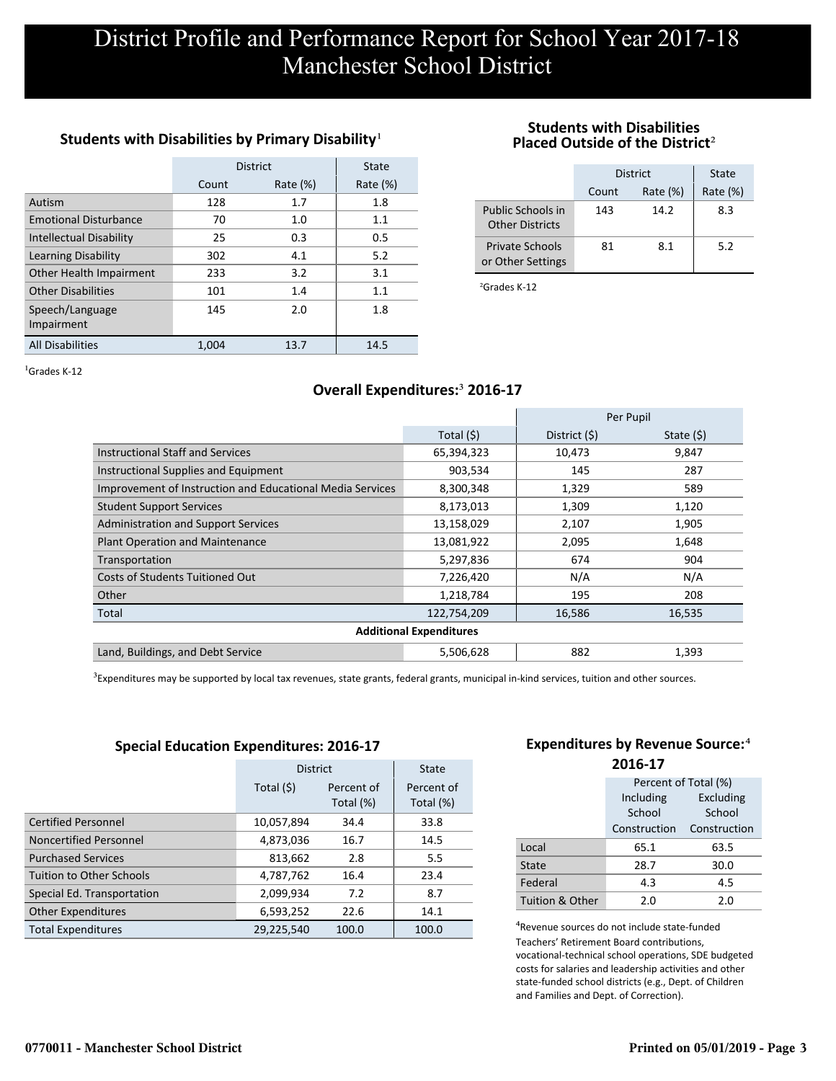#### Students with Disabilities by Primary Disability<sup>1</sup>

|                                | <b>District</b> | State       |             |
|--------------------------------|-----------------|-------------|-------------|
|                                | Count           | Rate $(\%)$ | Rate $(\%)$ |
| Autism                         | 128             | 1.7         | 1.8         |
| <b>Emotional Disturbance</b>   | 70              | 1.0         | 1.1         |
| <b>Intellectual Disability</b> | 25              | 0.3         | 0.5         |
| Learning Disability            | 302             | 4.1         | 5.2         |
| Other Health Impairment        | 233             | 3.2         | 3.1         |
| <b>Other Disabilities</b>      | 101             | 1.4         | 1.1         |
| Speech/Language<br>Impairment  | 145             | 2.0         | 1.8         |
| <b>All Disabilities</b>        | 1,004           | 13.7        | 14.5        |

#### **Students with Disabilities Placed Outside of the District**²

|                                             | District | State       |             |
|---------------------------------------------|----------|-------------|-------------|
|                                             | Count    | Rate $(\%)$ | Rate $(\%)$ |
| Public Schools in<br><b>Other Districts</b> | 143      | 14.2        | 8.3         |
| <b>Private Schools</b><br>or Other Settings | 81       | 8.1         | 5.2         |

²Grades K-12

 ${}^{1}$ Grades K-12

### **Overall Expenditures:**³ **2016-17**

|                                                           |                                | Per Pupil     |             |
|-----------------------------------------------------------|--------------------------------|---------------|-------------|
|                                                           | Total (\$)                     | District (\$) | State $(5)$ |
| <b>Instructional Staff and Services</b>                   | 65,394,323                     | 10,473        | 9,847       |
| Instructional Supplies and Equipment                      | 903,534                        | 145           | 287         |
| Improvement of Instruction and Educational Media Services | 8,300,348                      | 1,329         | 589         |
| <b>Student Support Services</b>                           | 8,173,013                      | 1,309         | 1,120       |
| <b>Administration and Support Services</b>                | 13,158,029                     | 2,107         | 1,905       |
| Plant Operation and Maintenance                           | 13,081,922                     | 2,095         | 1,648       |
| Transportation                                            | 5,297,836                      | 674           | 904         |
| Costs of Students Tuitioned Out                           | 7,226,420                      | N/A           | N/A         |
| Other                                                     | 1,218,784                      | 195           | 208         |
| Total                                                     | 122,754,209                    | 16,586        | 16,535      |
|                                                           | <b>Additional Expenditures</b> |               |             |
| Land, Buildings, and Debt Service                         | 5,506,628                      | 882           | 1,393       |

<sup>3</sup>Expenditures may be supported by local tax revenues, state grants, federal grants, municipal in-kind services, tuition and other sources.

#### **Special Education Expenditures: 2016-17**

|                                 | <b>District</b>                       | <b>State</b> |                         |
|---------------------------------|---------------------------------------|--------------|-------------------------|
|                                 | Total (\$)<br>Percent of<br>Total (%) |              | Percent of<br>Total (%) |
| <b>Certified Personnel</b>      | 10,057,894                            | 34.4         | 33.8                    |
| Noncertified Personnel          | 4,873,036                             | 16.7         | 14.5                    |
| <b>Purchased Services</b>       | 813,662                               | 2.8          | 5.5                     |
| <b>Tuition to Other Schools</b> | 4,787,762                             | 16.4         | 23.4                    |
| Special Ed. Transportation      | 2,099,934                             | 7.2          | 8.7                     |
| <b>Other Expenditures</b>       | 6,593,252                             | 22.6         | 14.1                    |
| <b>Total Expenditures</b>       | 29,225,540                            | 100.0        | 100.0                   |

#### **Expenditures by Revenue Source:**<sup>4</sup> **2016-17**

|                 | Percent of Total (%) |              |  |  |  |
|-----------------|----------------------|--------------|--|--|--|
|                 | Including            | Excluding    |  |  |  |
|                 | School               | School       |  |  |  |
|                 | Construction         | Construction |  |  |  |
| Local           | 65.1                 | 63.5         |  |  |  |
| State           | 28.7                 | 30.0         |  |  |  |
| Federal         | 4.3                  | 4.5          |  |  |  |
| Tuition & Other | 2.0                  | 2.0          |  |  |  |

<sup>4</sup>Revenue sources do not include state-funded Teachers' Retirement Board contributions, vocational-technical school operations, SDE budgeted costs for salaries and leadership activities and other state-funded school districts (e.g., Dept. of Children and Families and Dept. of Correction).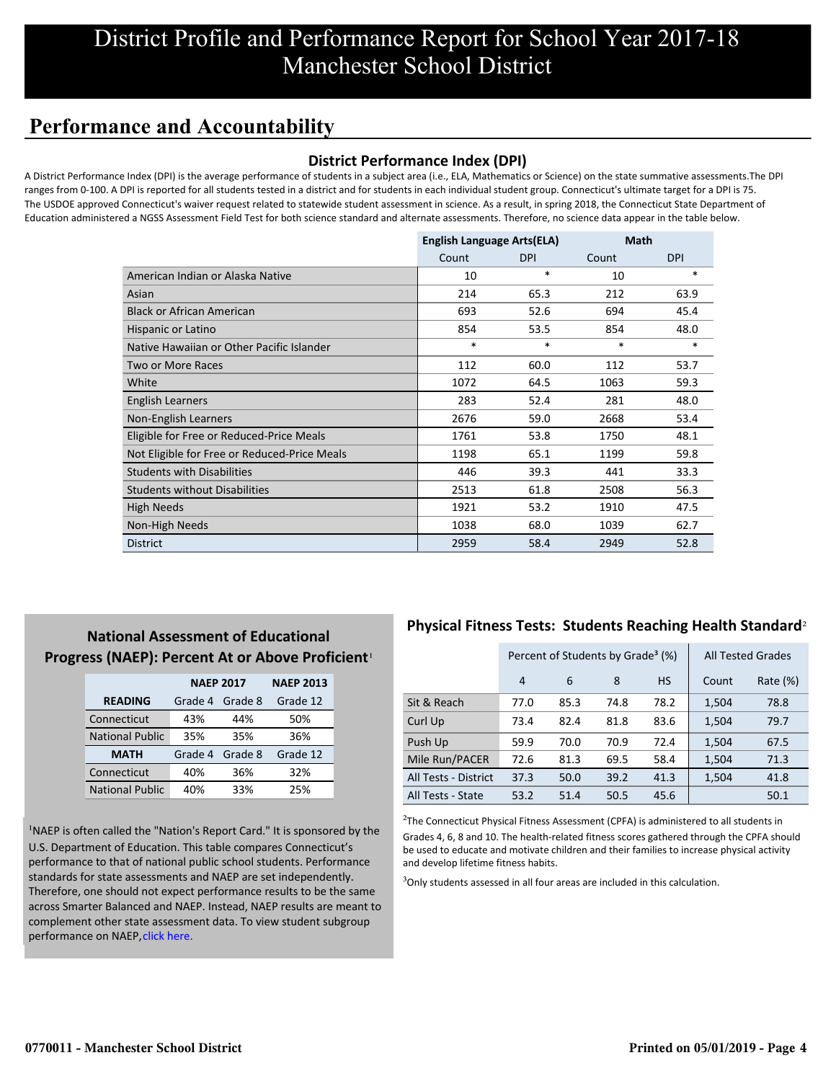# **Performance and Accountability**

#### **District Performance Index (DPI)**

A District Performance Index (DPI) is the average performance of students in a subject area (i.e., ELA, Mathematics or Science) on the state summative assessments.The DPI ranges from 0-100. A DPI is reported for all students tested in a district and for students in each individual student group. Connecticut's ultimate target for a DPI is 75. The USDOE approved Connecticut's waiver request related to statewide student assessment in science. As a result, in spring 2018, the Connecticut State Department of Education administered a NGSS Assessment Field Test for both science standard and alternate assessments. Therefore, no science data appear in the table below.

|                                              | <b>English Language Arts(ELA)</b> |            | Math   |            |
|----------------------------------------------|-----------------------------------|------------|--------|------------|
|                                              | Count                             | <b>DPI</b> | Count  | <b>DPI</b> |
| American Indian or Alaska Native             | 10                                | $\ast$     | 10     | $*$        |
| Asian                                        | 214                               | 65.3       | 212    | 63.9       |
| <b>Black or African American</b>             | 693                               | 52.6       | 694    | 45.4       |
| Hispanic or Latino                           | 854                               | 53.5       | 854    | 48.0       |
| Native Hawaiian or Other Pacific Islander    | $\ast$                            | $\ast$     | $\ast$ | $\ast$     |
| Two or More Races                            | 112                               | 60.0       | 112    | 53.7       |
| White                                        | 1072                              | 64.5       | 1063   | 59.3       |
| English Learners                             | 283                               | 52.4       | 281    | 48.0       |
| Non-English Learners                         | 2676                              | 59.0       | 2668   | 53.4       |
| Eligible for Free or Reduced-Price Meals     | 1761                              | 53.8       | 1750   | 48.1       |
| Not Eligible for Free or Reduced-Price Meals | 1198                              | 65.1       | 1199   | 59.8       |
| <b>Students with Disabilities</b>            | 446                               | 39.3       | 441    | 33.3       |
| <b>Students without Disabilities</b>         | 2513                              | 61.8       | 2508   | 56.3       |
| <b>High Needs</b>                            | 1921                              | 53.2       | 1910   | 47.5       |
| Non-High Needs                               | 1038                              | 68.0       | 1039   | 62.7       |
| <b>District</b>                              | 2959                              | 58.4       | 2949   | 52.8       |

## **National Assessment of Educational** Progress (NAEP): Percent At or Above Proficient<sup>1</sup>

|                        | <b>NAEP 2017</b> | <b>NAEP 2013</b> |          |
|------------------------|------------------|------------------|----------|
| <b>READING</b>         | Grade 4          | Grade 8          | Grade 12 |
| Connecticut            | 43%              | 44%              | 50%      |
| <b>National Public</b> | 35%              | 35%              | 36%      |
| <b>MATH</b>            | Grade 4          | Grade 8          | Grade 12 |
| Connecticut            | 40%              | 36%              | 32%      |
| <b>National Public</b> | 40%              | 33%              | 25%      |

<sup>1</sup>NAEP is often called the "Nation's Report Card." It is sponsored by the U.S. Department of Education. This table compares Connecticut's performance to that of national public school students. Performance standards for state assessments and NAEP are set independently. Therefore, one should not expect performance results to be the same [across Smarter Balanced and NAEP. Instead, NAEP results are meant to](https://portal.ct.gov/-/media/SDE/Student-Assessment/NAEP/report-card_NAEP-2017.pdf?la=en) complement other state assessment data. To view student subgroup performance on NAEP, click here.

### **Physical Fitness Tests: Students Reaching Health Standard**²

|                      | Percent of Students by Grade <sup>3</sup> (%) |      |      |           |       | <b>All Tested Grades</b> |
|----------------------|-----------------------------------------------|------|------|-----------|-------|--------------------------|
|                      | $\overline{4}$                                | 6    | 8    | <b>HS</b> | Count | Rate (%)                 |
| Sit & Reach          | 77.0                                          | 85.3 | 74.8 | 78.2      | 1,504 | 78.8                     |
| Curl Up              | 73.4                                          | 82.4 | 81.8 | 83.6      | 1,504 | 79.7                     |
| Push Up              | 59.9                                          | 70.0 | 70.9 | 72.4      | 1,504 | 67.5                     |
| Mile Run/PACER       | 72.6                                          | 81.3 | 69.5 | 58.4      | 1,504 | 71.3                     |
| All Tests - District | 37.3                                          | 50.0 | 39.2 | 41.3      | 1,504 | 41.8                     |
| All Tests - State    | 53.2                                          | 51.4 | 50.5 | 45.6      |       | 50.1                     |

 $2$ The Connecticut Physical Fitness Assessment (CPFA) is administered to all students in Grades 4, 6, 8 and 10. The health-related fitness scores gathered through the CPFA should be used to educate and motivate children and their families to increase physical activity and develop lifetime fitness habits.

 $3$ Only students assessed in all four areas are included in this calculation.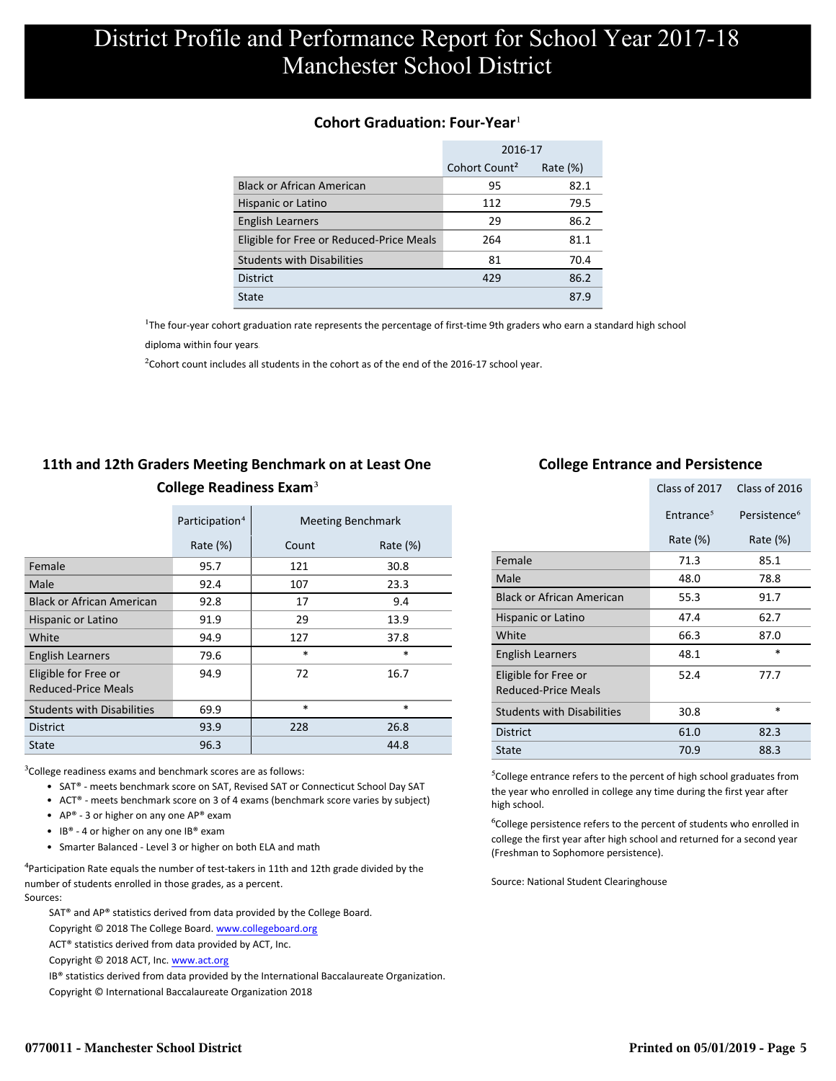#### **Cohort Graduation: Four-Year**<sup>1</sup>

|                                          | 2016-17                   |             |  |
|------------------------------------------|---------------------------|-------------|--|
|                                          | Cohort Count <sup>2</sup> | Rate $(\%)$ |  |
| <b>Black or African American</b>         | 95                        | 82.1        |  |
| Hispanic or Latino                       | 112                       | 79.5        |  |
| <b>English Learners</b>                  | 29                        | 86.2        |  |
| Eligible for Free or Reduced-Price Meals | 264                       | 81.1        |  |
| <b>Students with Disabilities</b>        | 81                        | 70.4        |  |
| <b>District</b>                          | 429                       | 86.2        |  |
| State                                    |                           | 87.9        |  |

<sup>1</sup>The four-year cohort graduation rate represents the percentage of first-time 9th graders who earn a standard high school

[diploma within four years.](http://www.sde.ct.gov/sde/cwp/view.asp?a=2758&q=334898)

 $2$ Cohort count includes all students in the cohort as of the end of the 2016-17 school year.

## **11th and 12th Graders Meeting Benchmark on at Least One College Readiness Exam**³

|                                                    | Participation <sup>4</sup> |        | <b>Meeting Benchmark</b> |
|----------------------------------------------------|----------------------------|--------|--------------------------|
|                                                    | Rate $(\%)$                | Count  | Rate $(\%)$              |
| Female                                             | 95.7                       | 121    | 30.8                     |
| Male                                               | 92.4                       | 107    | 23.3                     |
| <b>Black or African American</b>                   | 92.8                       | 17     | 9.4                      |
| Hispanic or Latino                                 | 91.9                       | 29     | 13.9                     |
| White                                              | 94.9                       | 127    | 37.8                     |
| <b>English Learners</b>                            | 79.6                       | $\ast$ | $\ast$                   |
| Eligible for Free or<br><b>Reduced-Price Meals</b> | 94.9                       | 72     | 16.7                     |
| <b>Students with Disabilities</b>                  | 69.9                       | $\ast$ | $\ast$                   |
| <b>District</b>                                    | 93.9                       | 228    | 26.8                     |
| State                                              | 96.3                       |        | 44.8                     |

 $3$ College readiness exams and benchmark scores are as follows:

- SAT® meets benchmark score on SAT, Revised SAT or Connecticut School Day SAT
- ACT® meets benchmark score on 3 of 4 exams (benchmark score varies by subject)
- AP® 3 or higher on any one  $AP^®$  exam
- IB® 4 or higher on any one IB® exam
- Smarter Balanced Level 3 or higher on both ELA and math

 $4$ Participation Rate equals the number of test-takers in 11th and 12th grade divided by the number of students enrolled in those grades, as a percent. Sources:

SAT® and AP® statistics derived from data provided by the College Board.

Copyright © 2018 The College Board. www.collegeboard.org

ACT® statistics derived from data provided by ACT, Inc.

Copyright © 2018 ACT, Inc. www.act.org

IB® statistics derived from data provided by the International Baccalaureate Organization.

Copyright © International Baccalaureate Organization 2018

#### **College Entrance and Persistence**

|                                                    | Class of 2017         | Class of 2016            |
|----------------------------------------------------|-----------------------|--------------------------|
|                                                    | Entrance <sup>5</sup> | Persistence <sup>6</sup> |
|                                                    | Rate $(\%)$           | Rate $(\%)$              |
| Female                                             | 71.3                  | 85.1                     |
| Male                                               | 48.0                  | 78.8                     |
| <b>Black or African American</b>                   | 55.3                  | 91.7                     |
| Hispanic or Latino                                 | 47.4                  | 62.7                     |
| White                                              | 66.3                  | 87.0                     |
| English Learners                                   | 48.1                  | $\ast$                   |
| Eligible for Free or<br><b>Reduced-Price Meals</b> | 52.4                  | 77.7                     |
| <b>Students with Disabilities</b>                  | 30.8                  | *                        |
| <b>District</b>                                    | 61.0                  | 82.3                     |
| State                                              | 70.9                  | 88.3                     |

⁵College entrance refers to the percent of high school graduates from the year who enrolled in college any time during the first year after high school.

⁶College persistence refers to the percent of students who enrolled in college the first year after high school and returned for a second year (Freshman to Sophomore persistence).

Source: National Student Clearinghouse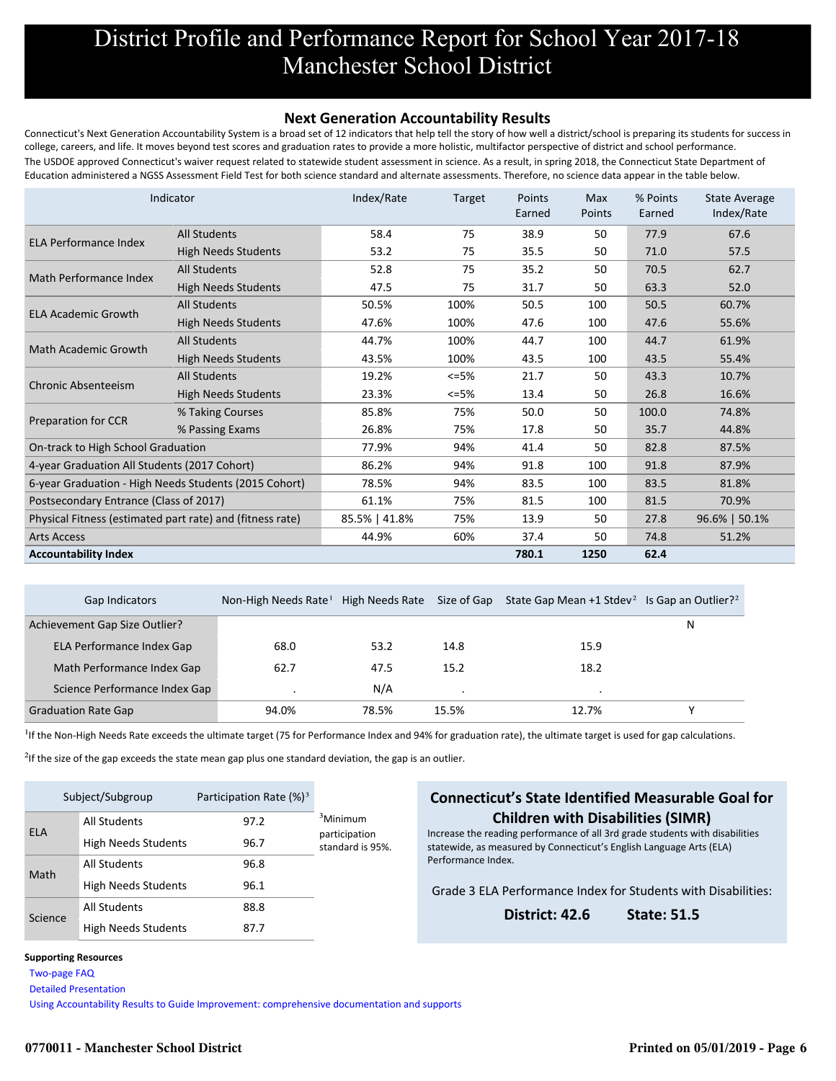#### **Next Generation Accountability Results**

Connecticut's Next Generation Accountability System is a broad set of 12 indicators that help tell the story of how well a district/school is preparing its students for success in college, careers, and life. It moves beyond test scores and graduation rates to provide a more holistic, multifactor perspective of district and school performance. The USDOE approved Connecticut's waiver request related to statewide student assessment in science. As a result, in spring 2018, the Connecticut State Department of Education administered a NGSS Assessment Field Test for both science standard and alternate assessments. Therefore, no science data appear in the table below.

|                                                           | Indicator                  | Index/Rate    | Target  | Points<br>Earned | <b>Max</b><br>Points | % Points<br>Earned | <b>State Average</b><br>Index/Rate |
|-----------------------------------------------------------|----------------------------|---------------|---------|------------------|----------------------|--------------------|------------------------------------|
| <b>ELA Performance Index</b>                              | <b>All Students</b>        | 58.4          | 75      | 38.9             | 50                   | 77.9               | 67.6                               |
|                                                           | <b>High Needs Students</b> | 53.2          | 75      | 35.5             | 50                   | 71.0               | 57.5                               |
| Math Performance Index                                    | <b>All Students</b>        | 52.8          | 75      | 35.2             | 50                   | 70.5               | 62.7                               |
|                                                           | <b>High Needs Students</b> | 47.5          | 75      | 31.7             | 50                   | 63.3               | 52.0                               |
| <b>ELA Academic Growth</b>                                | <b>All Students</b>        | 50.5%         | 100%    | 50.5             | 100                  | 50.5               | 60.7%                              |
|                                                           | <b>High Needs Students</b> | 47.6%         | 100%    | 47.6             | 100                  | 47.6               | 55.6%                              |
| <b>Math Academic Growth</b>                               | <b>All Students</b>        | 44.7%         | 100%    | 44.7             | 100                  | 44.7               | 61.9%                              |
|                                                           | <b>High Needs Students</b> | 43.5%         | 100%    | 43.5             | 100                  | 43.5               | 55.4%                              |
| <b>Chronic Absenteeism</b>                                | <b>All Students</b>        | 19.2%         | $<=5%$  | 21.7             | 50                   | 43.3               | 10.7%                              |
|                                                           | <b>High Needs Students</b> | 23.3%         | $<=5\%$ | 13.4             | 50                   | 26.8               | 16.6%                              |
|                                                           | % Taking Courses           | 85.8%         | 75%     | 50.0             | 50                   | 100.0              | 74.8%                              |
| Preparation for CCR                                       | % Passing Exams            | 26.8%         | 75%     | 17.8             | 50                   | 35.7               | 44.8%                              |
| On-track to High School Graduation                        |                            | 77.9%         | 94%     | 41.4             | 50                   | 82.8               | 87.5%                              |
| 4-year Graduation All Students (2017 Cohort)              |                            | 86.2%         | 94%     | 91.8             | 100                  | 91.8               | 87.9%                              |
| 6-year Graduation - High Needs Students (2015 Cohort)     |                            | 78.5%         | 94%     | 83.5             | 100                  | 83.5               | 81.8%                              |
| Postsecondary Entrance (Class of 2017)                    |                            | 61.1%         | 75%     | 81.5             | 100                  | 81.5               | 70.9%                              |
| Physical Fitness (estimated part rate) and (fitness rate) |                            | 85.5%   41.8% | 75%     | 13.9             | 50                   | 27.8               | 96.6%   50.1%                      |
| <b>Arts Access</b>                                        |                            | 44.9%         | 60%     | 37.4             | 50                   | 74.8               | 51.2%                              |
| <b>Accountability Index</b>                               |                            |               |         | 780.1            | 1250                 | 62.4               |                                    |

| Gap Indicators                | Non-High Needs Rate <sup>1</sup> High Needs Rate |       | Size of Gap | State Gap Mean +1 Stdev <sup>2</sup> Is Gap an Outlier? <sup>2</sup> |   |
|-------------------------------|--------------------------------------------------|-------|-------------|----------------------------------------------------------------------|---|
| Achievement Gap Size Outlier? |                                                  |       |             |                                                                      | N |
| ELA Performance Index Gap     | 68.0                                             | 53.2  | 14.8        | 15.9                                                                 |   |
| Math Performance Index Gap    | 62.7                                             | 47.5  | 15.2        | 18.2                                                                 |   |
| Science Performance Index Gap |                                                  | N/A   |             |                                                                      |   |
| <b>Graduation Rate Gap</b>    | 94.0%                                            | 78.5% | 15.5%       | 12.7%                                                                |   |

<sup>1</sup>If the Non-High Needs Rate exceeds the ultimate target (75 for Performance Index and 94% for graduation rate), the ultimate target is used for gap calculations.

 $2$ If the size of the gap exceeds the state mean gap plus one standard deviation, the gap is an outlier.

| Subject/Subgroup |                            | Participation Rate $(\%)^3$ |                                   |
|------------------|----------------------------|-----------------------------|-----------------------------------|
| <b>ELA</b>       | <b>All Students</b>        | 97.2                        | <sup>3</sup> Minimum              |
|                  | <b>High Needs Students</b> | 96.7                        | participation<br>standard is 95%. |
| Math             | <b>All Students</b>        | 96.8                        |                                   |
|                  | <b>High Needs Students</b> | 96.1                        |                                   |
| Science          | <b>All Students</b>        | 88.8                        |                                   |
|                  | <b>High Needs Students</b> | 87.7                        |                                   |

#### **Connecticut's State Identified Measurable Goal for Children with Disabilities (SIMR)**

Increase the reading performance of all 3rd grade students with disabilities statewide, as measured by Connecticut's English Language Arts (ELA) Performance Index.

Grade 3 ELA Performance Index for Students with Disabilities:

**District: 42.6 State: 51.5**

#### **Supporting Resources**

 [Two-page FAQ](http://edsight.ct.gov/relatedreports/nextgenFAQ_revisedDec2018.pdf) 

 [Detailed Presentation](http://edsight.ct.gov/relatedreports/Next%20Generation%20Accountability%20System_Detailed%20Presentation_Jan_2019_FINAL.pdf) 

 [Using Accountability Results to Guide Improvement: comprehensive documentation and supports](http://edsight.ct.gov/relatedreports/Using_Accountability_Results_to_Guide_Improvement.pdf)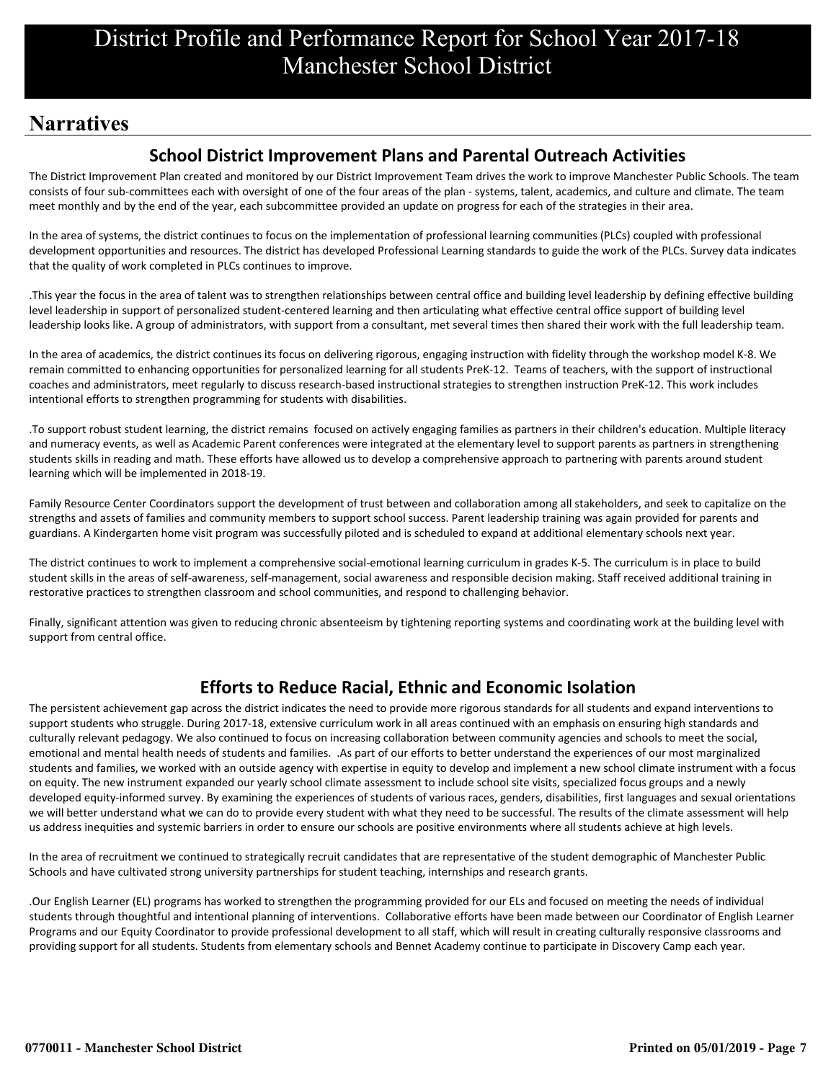# **Narratives**

## **School District Improvement Plans and Parental Outreach Activities**

The District Improvement Plan created and monitored by our District Improvement Team drives the work to improve Manchester Public Schools. The team consists of four sub-committees each with oversight of one of the four areas of the plan - systems, talent, academics, and culture and climate. The team meet monthly and by the end of the year, each subcommittee provided an update on progress for each of the strategies in their area.

In the area of systems, the district continues to focus on the implementation of professional learning communities (PLCs) coupled with professional development opportunities and resources. The district has developed Professional Learning standards to guide the work of the PLCs. Survey data indicates that the quality of work completed in PLCs continues to improve.

.This year the focus in the area of talent was to strengthen relationships between central office and building level leadership by defining effective building level leadership in support of personalized student-centered learning and then articulating what effective central office support of building level leadership looks like. A group of administrators, with support from a consultant, met several times then shared their work with the full leadership team.

In the area of academics, the district continues its focus on delivering rigorous, engaging instruction with fidelity through the workshop model K-8. We remain committed to enhancing opportunities for personalized learning for all students PreK-12. Teams of teachers, with the support of instructional coaches and administrators, meet regularly to discuss research-based instructional strategies to strengthen instruction PreK-12. This work includes intentional efforts to strengthen programming for students with disabilities.

.To support robust student learning, the district remains focused on actively engaging families as partners in their children's education. Multiple literacy and numeracy events, as well as Academic Parent conferences were integrated at the elementary level to support parents as partners in strengthening students skills in reading and math. These efforts have allowed us to develop a comprehensive approach to partnering with parents around student learning which will be implemented in 2018-19.

Family Resource Center Coordinators support the development of trust between and collaboration among all stakeholders, and seek to capitalize on the strengths and assets of families and community members to support school success. Parent leadership training was again provided for parents and guardians. A Kindergarten home visit program was successfully piloted and is scheduled to expand at additional elementary schools next year.

The district continues to work to implement a comprehensive social-emotional learning curriculum in grades K-5. The curriculum is in place to build student skills in the areas of self-awareness, self-management, social awareness and responsible decision making. Staff received additional training in restorative practices to strengthen classroom and school communities, and respond to challenging behavior.

Finally, significant attention was given to reducing chronic absenteeism by tightening reporting systems and coordinating work at the building level with support from central office.

## **Efforts to Reduce Racial, Ethnic and Economic Isolation**

The persistent achievement gap across the district indicates the need to provide more rigorous standards for all students and expand interventions to support students who struggle. During 2017-18, extensive curriculum work in all areas continued with an emphasis on ensuring high standards and culturally relevant pedagogy. We also continued to focus on increasing collaboration between community agencies and schools to meet the social, emotional and mental health needs of students and families. .As part of our efforts to better understand the experiences of our most marginalized students and families, we worked with an outside agency with expertise in equity to develop and implement a new school climate instrument with a focus on equity. The new instrument expanded our yearly school climate assessment to include school site visits, specialized focus groups and a newly developed equity-informed survey. By examining the experiences of students of various races, genders, disabilities, first languages and sexual orientations we will better understand what we can do to provide every student with what they need to be successful. The results of the climate assessment will help us address inequities and systemic barriers in order to ensure our schools are positive environments where all students achieve at high levels.

In the area of recruitment we continued to strategically recruit candidates that are representative of the student demographic of Manchester Public Schools and have cultivated strong university partnerships for student teaching, internships and research grants.

.Our English Learner (EL) programs has worked to strengthen the programming provided for our ELs and focused on meeting the needs of individual students through thoughtful and intentional planning of interventions. Collaborative efforts have been made between our Coordinator of English Learner Programs and our Equity Coordinator to provide professional development to all staff, which will result in creating culturally responsive classrooms and providing support for all students. Students from elementary schools and Bennet Academy continue to participate in Discovery Camp each year.